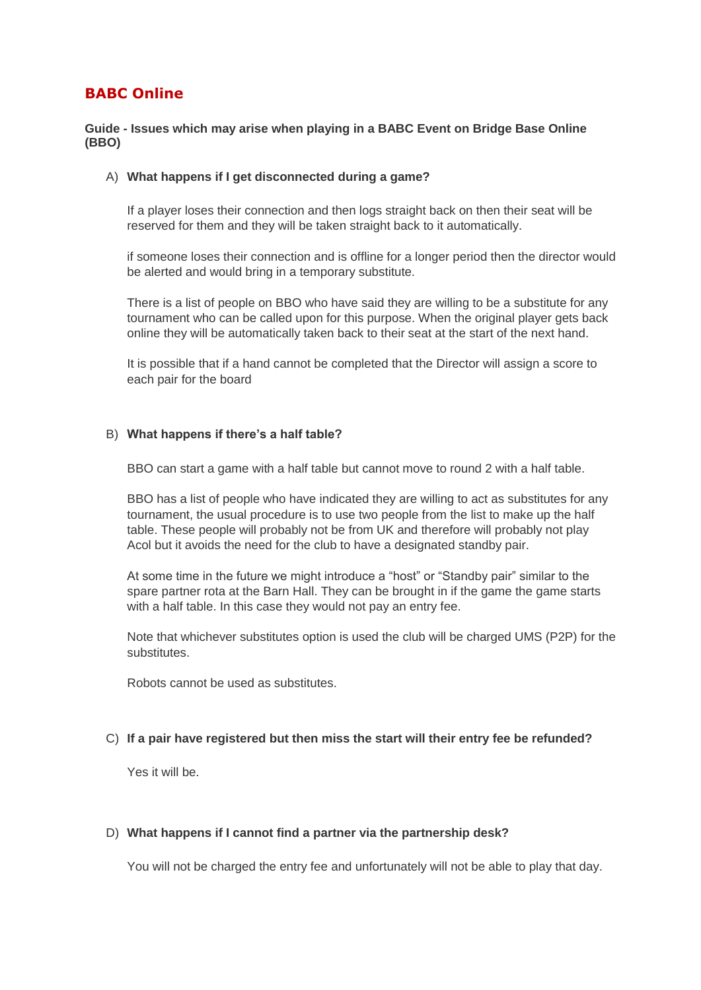# **BABC Online**

## **Guide - Issues which may arise when playing in a BABC Event on Bridge Base Online (BBO)**

## A) **What happens if I get disconnected during a game?**

If a player loses their connection and then logs straight back on then their seat will be reserved for them and they will be taken straight back to it automatically.

if someone loses their connection and is offline for a longer period then the director would be alerted and would bring in a temporary substitute.

There is a list of people on BBO who have said they are willing to be a substitute for any tournament who can be called upon for this purpose. When the original player gets back online they will be automatically taken back to their seat at the start of the next hand.

It is possible that if a hand cannot be completed that the Director will assign a score to each pair for the board

## B) **What happens if there's a half table?**

BBO can start a game with a half table but cannot move to round 2 with a half table.

BBO has a list of people who have indicated they are willing to act as substitutes for any tournament, the usual procedure is to use two people from the list to make up the half table. These people will probably not be from UK and therefore will probably not play Acol but it avoids the need for the club to have a designated standby pair.

At some time in the future we might introduce a "host" or "Standby pair" similar to the spare partner rota at the Barn Hall. They can be brought in if the game the game starts with a half table. In this case they would not pay an entry fee.

Note that whichever substitutes option is used the club will be charged UMS (P2P) for the substitutes.

Robots cannot be used as substitutes.

## C) **If a pair have registered but then miss the start will their entry fee be refunded?**

Yes it will be.

## D) **What happens if I cannot find a partner via the partnership desk?**

You will not be charged the entry fee and unfortunately will not be able to play that day.